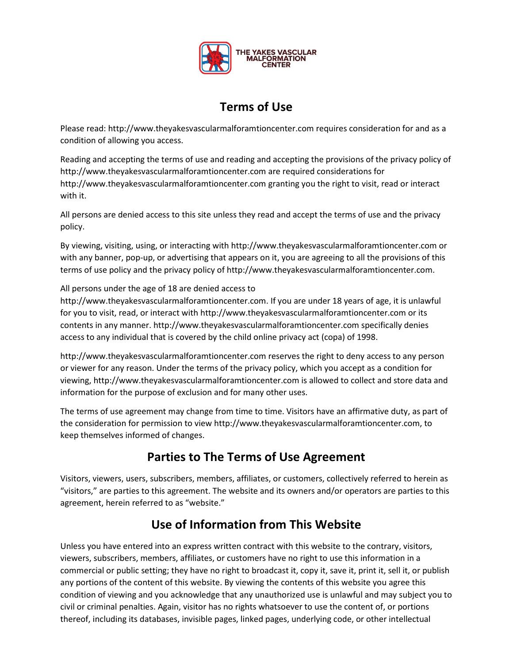

# **Terms of Use**

Please read: http://www.theyakesvascularmalforamtioncenter.com requires consideration for and as a condition of allowing you access.

Reading and accepting the terms of use and reading and accepting the provisions of the privacy policy of http://www.theyakesvascularmalforamtioncenter.com are required considerations for http://www.theyakesvascularmalforamtioncenter.com granting you the right to visit, read or interact with it.

All persons are denied access to this site unless they read and accept the terms of use and the privacy policy.

By viewing, visiting, using, or interacting with http://www.theyakesvascularmalforamtioncenter.com or with any banner, pop-up, or advertising that appears on it, you are agreeing to all the provisions of this terms of use policy and the privacy policy of http://www.theyakesvascularmalforamtioncenter.com.

#### All persons under the age of 18 are denied access to

http://www.theyakesvascularmalforamtioncenter.com. If you are under 18 years of age, it is unlawful for you to visit, read, or interact with http://www.theyakesvascularmalforamtioncenter.com or its contents in any manner. http://www.theyakesvascularmalforamtioncenter.com specifically denies access to any individual that is covered by the child online privacy act (copa) of 1998.

http://www.theyakesvascularmalforamtioncenter.com reserves the right to deny access to any person or viewer for any reason. Under the terms of the privacy policy, which you accept as a condition for viewing, http://www.theyakesvascularmalforamtioncenter.com is allowed to collect and store data and information for the purpose of exclusion and for many other uses.

The terms of use agreement may change from time to time. Visitors have an affirmative duty, as part of the consideration for permission to view http://www.theyakesvascularmalforamtioncenter.com, to keep themselves informed of changes.

### **Parties to The Terms of Use Agreement**

Visitors, viewers, users, subscribers, members, affiliates, or customers, collectively referred to herein as "visitors," are parties to this agreement. The website and its owners and/or operators are parties to this agreement, herein referred to as "website."

# **Use of Information from This Website**

Unless you have entered into an express written contract with this website to the contrary, visitors, viewers, subscribers, members, affiliates, or customers have no right to use this information in a commercial or public setting; they have no right to broadcast it, copy it, save it, print it, sell it, or publish any portions of the content of this website. By viewing the contents of this website you agree this condition of viewing and you acknowledge that any unauthorized use is unlawful and may subject you to civil or criminal penalties. Again, visitor has no rights whatsoever to use the content of, or portions thereof, including its databases, invisible pages, linked pages, underlying code, or other intellectual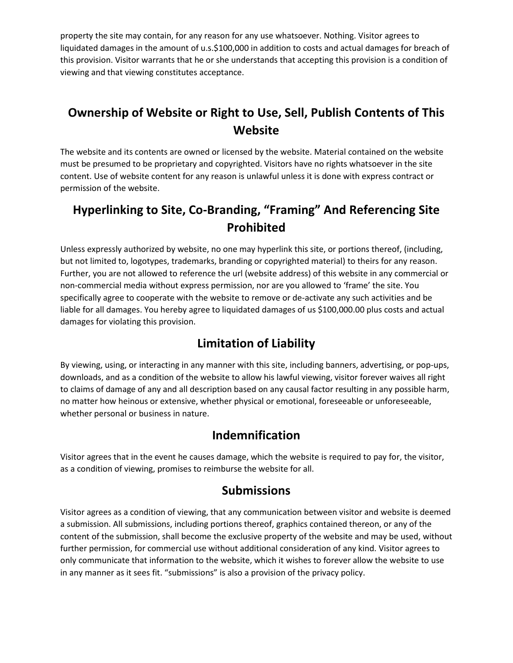property the site may contain, for any reason for any use whatsoever. Nothing. Visitor agrees to liquidated damages in the amount of u.s.\$100,000 in addition to costs and actual damages for breach of this provision. Visitor warrants that he or she understands that accepting this provision is a condition of viewing and that viewing constitutes acceptance.

# **Ownership of Website or Right to Use, Sell, Publish Contents of This Website**

The website and its contents are owned or licensed by the website. Material contained on the website must be presumed to be proprietary and copyrighted. Visitors have no rights whatsoever in the site content. Use of website content for any reason is unlawful unless it is done with express contract or permission of the website.

# **Hyperlinking to Site, Co-Branding, "Framing" And Referencing Site Prohibited**

Unless expressly authorized by website, no one may hyperlink this site, or portions thereof, (including, but not limited to, logotypes, trademarks, branding or copyrighted material) to theirs for any reason. Further, you are not allowed to reference the url (website address) of this website in any commercial or non-commercial media without express permission, nor are you allowed to 'frame' the site. You specifically agree to cooperate with the website to remove or de-activate any such activities and be liable for all damages. You hereby agree to liquidated damages of us \$100,000.00 plus costs and actual damages for violating this provision.

### **Limitation of Liability**

By viewing, using, or interacting in any manner with this site, including banners, advertising, or pop-ups, downloads, and as a condition of the website to allow his lawful viewing, visitor forever waives all right to claims of damage of any and all description based on any causal factor resulting in any possible harm, no matter how heinous or extensive, whether physical or emotional, foreseeable or unforeseeable, whether personal or business in nature.

#### **Indemnification**

Visitor agrees that in the event he causes damage, which the website is required to pay for, the visitor, as a condition of viewing, promises to reimburse the website for all.

#### **Submissions**

Visitor agrees as a condition of viewing, that any communication between visitor and website is deemed a submission. All submissions, including portions thereof, graphics contained thereon, or any of the content of the submission, shall become the exclusive property of the website and may be used, without further permission, for commercial use without additional consideration of any kind. Visitor agrees to only communicate that information to the website, which it wishes to forever allow the website to use in any manner as it sees fit. "submissions" is also a provision of the privacy policy.